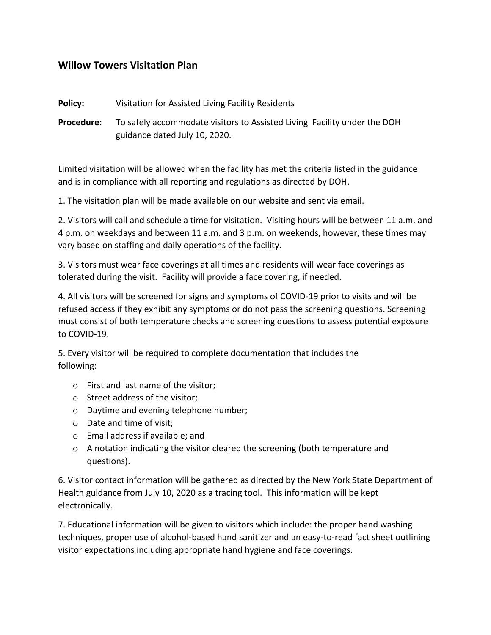## **Willow Towers Visitation Plan**

- **Policy:** Visitation for Assisted Living Facility Residents
- **Procedure:** To safely accommodate visitors to Assisted Living Facility under the DOH guidance dated July 10, 2020.

Limited visitation will be allowed when the facility has met the criteria listed in the guidance and is in compliance with all reporting and regulations as directed by DOH.

1. The visitation plan will be made available on our website and sent via email.

2. Visitors will call and schedule a time for visitation. Visiting hours will be between 11 a.m. and 4 p.m. on weekdays and between 11 a.m. and 3 p.m. on weekends, however, these times may vary based on staffing and daily operations of the facility.

3. Visitors must wear face coverings at all times and residents will wear face coverings as tolerated during the visit. Facility will provide a face covering, if needed.

4. All visitors will be screened for signs and symptoms of COVID-19 prior to visits and will be refused access if they exhibit any symptoms or do not pass the screening questions. Screening must consist of both temperature checks and screening questions to assess potential exposure to COVID-19.

5. Every visitor will be required to complete documentation that includes the following:

- o First and last name of the visitor;
- o Street address of the visitor;
- o Daytime and evening telephone number;
- o Date and time of visit;
- o Email address if available; and
- $\circ$  A notation indicating the visitor cleared the screening (both temperature and questions).

6. Visitor contact information will be gathered as directed by the New York State Department of Health guidance from July 10, 2020 as a tracing tool. This information will be kept electronically.

7. Educational information will be given to visitors which include: the proper hand washing techniques, proper use of alcohol-based hand sanitizer and an easy-to-read fact sheet outlining visitor expectations including appropriate hand hygiene and face coverings.